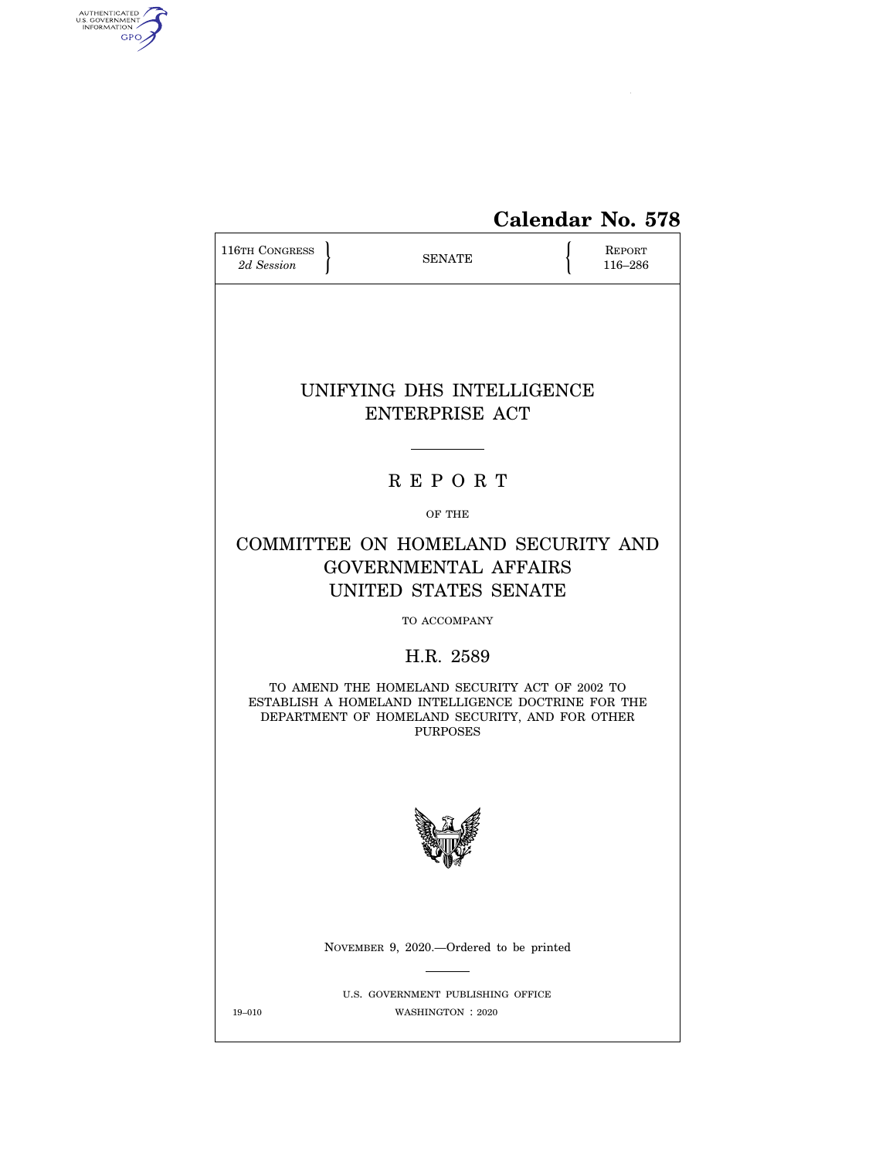

# **Calendar No. 578**

| 116TH CONGRESS<br>2d Session | <b>SENATE</b>                                                                                                                                                            | <b>REPORT</b><br>116-286 |
|------------------------------|--------------------------------------------------------------------------------------------------------------------------------------------------------------------------|--------------------------|
|                              |                                                                                                                                                                          |                          |
|                              | UNIFYING DHS INTELLIGENCE<br><b>ENTERPRISE ACT</b>                                                                                                                       |                          |
|                              | <b>REPORT</b>                                                                                                                                                            |                          |
|                              | OF THE                                                                                                                                                                   |                          |
|                              | COMMITTEE ON HOMELAND SECURITY AND<br><b>GOVERNMENTAL AFFAIRS</b><br>UNITED STATES SENATE                                                                                |                          |
|                              | TO ACCOMPANY                                                                                                                                                             |                          |
|                              | H.R. 2589                                                                                                                                                                |                          |
|                              | TO AMEND THE HOMELAND SECURITY ACT OF 2002 TO<br>ESTABLISH A HOMELAND INTELLIGENCE DOCTRINE FOR THE<br>DEPARTMENT OF HOMELAND SECURITY, AND FOR OTHER<br><b>PURPOSES</b> |                          |
|                              |                                                                                                                                                                          |                          |
|                              | NOVEMBER 9, 2020.-Ordered to be printed                                                                                                                                  |                          |
| 19-010                       | U.S. GOVERNMENT PUBLISHING OFFICE<br>WASHINGTON : 2020                                                                                                                   |                          |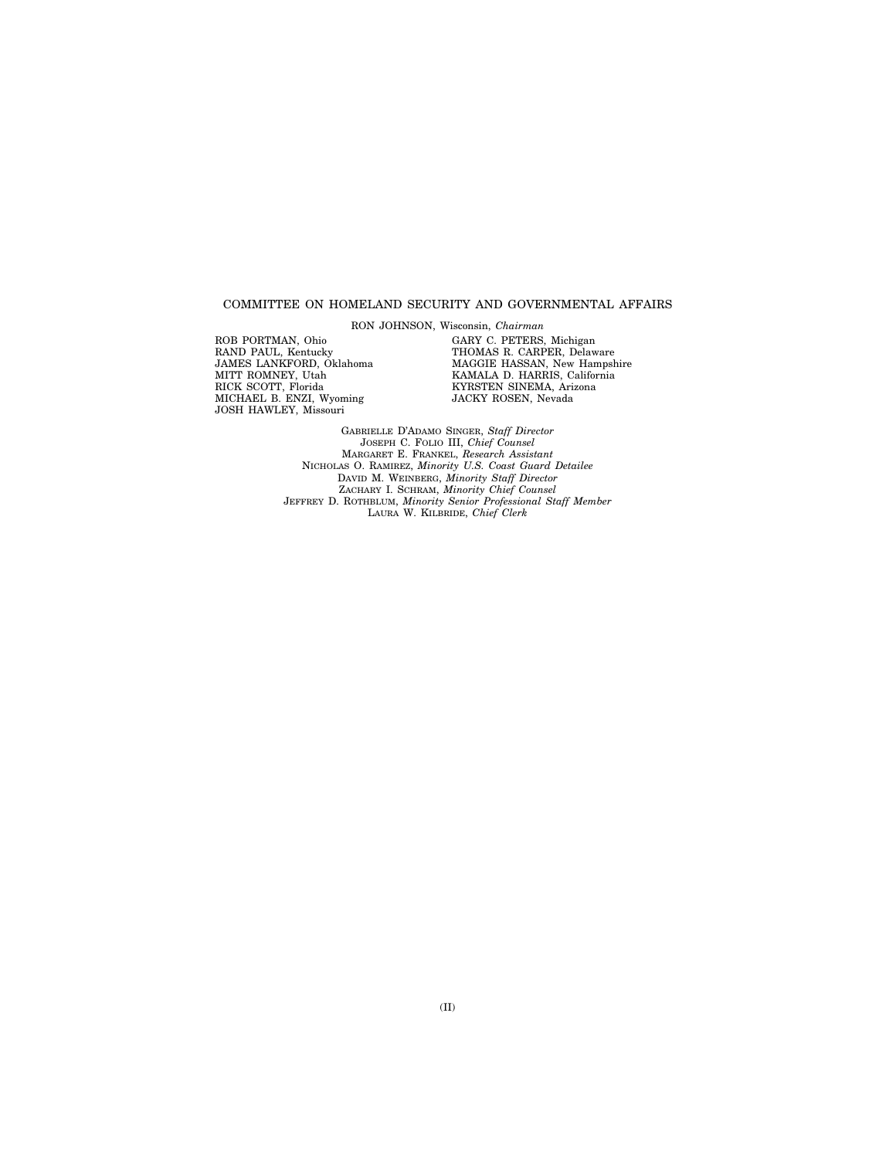#### COMMITTEE ON HOMELAND SECURITY AND GOVERNMENTAL AFFAIRS

RON JOHNSON, Wisconsin, *Chairman* 

ROB PORTMAN, Ohio RAND PAUL, Kentucky JAMES LANKFORD, Oklahoma MITT ROMNEY, Utah RICK SCOTT, Florida MICHAEL B. ENZI, Wyoming JOSH HAWLEY, Missouri

GARY C. PETERS, Michigan THOMAS R. CARPER, Delaware MAGGIE HASSAN, New Hampshire KAMALA D. HARRIS, California KYRSTEN SINEMA, Arizona JACKY ROSEN, Nevada

GABRIELLE D'ADAMO SINGER, *Staff Director*  JOSEPH C. FOLIO III, *Chief Counsel*  MARGARET E. FRANKEL, *Research Assistant*  NICHOLAS O. RAMIREZ, *Minority U.S. Coast Guard Detailee*  DAVID M. WEINBERG, *Minority Staff Director*  ZACHARY I. SCHRAM, *Minority Chief Counsel*  JEFFREY D. ROTHBLUM, *Minority Senior Professional Staff Member*  LAURA W. KILBRIDE, *Chief Clerk*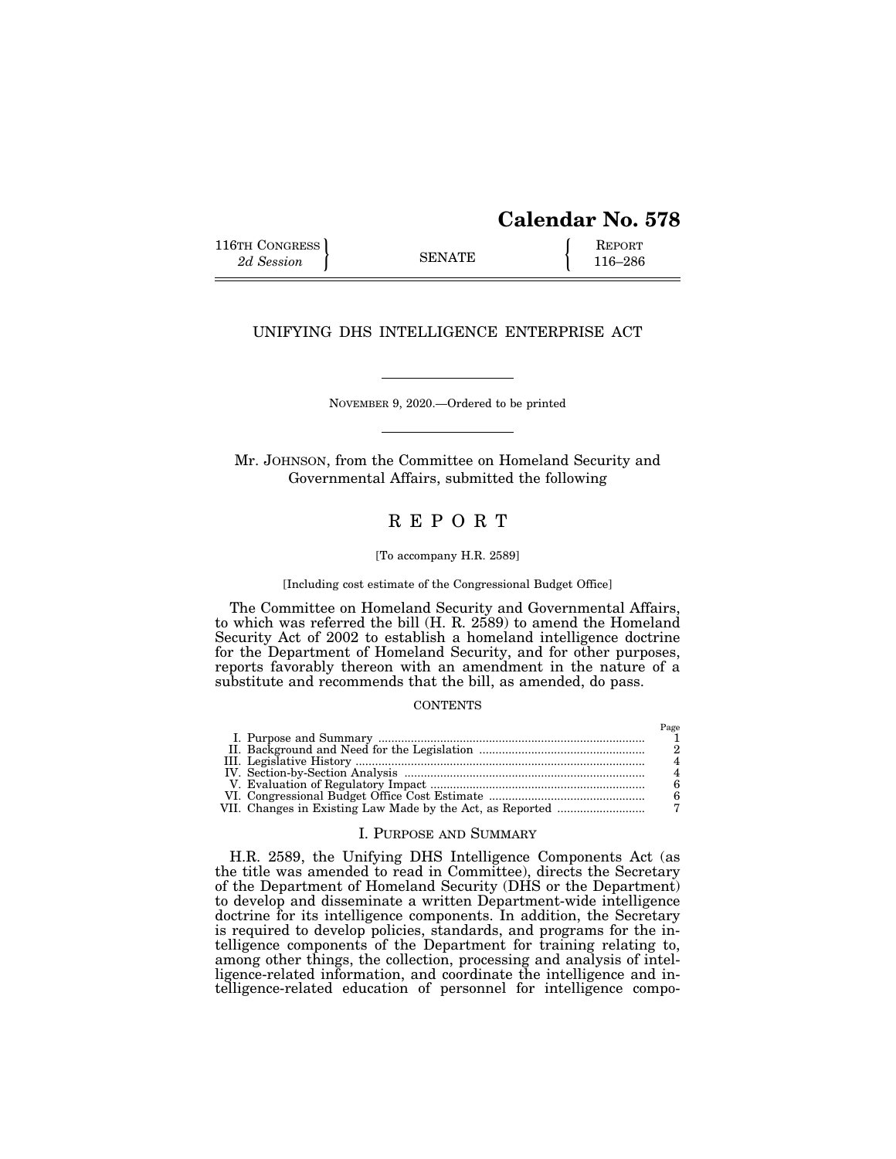# **Calendar No. 578**

 $P_{\text{max}}$ 

116TH CONGRESS **REPORT** 2d Session **116–286** 

## UNIFYING DHS INTELLIGENCE ENTERPRISE ACT

NOVEMBER 9, 2020.—Ordered to be printed

Mr. JOHNSON, from the Committee on Homeland Security and Governmental Affairs, submitted the following

# R E P O R T

#### [To accompany H.R. 2589]

[Including cost estimate of the Congressional Budget Office]

The Committee on Homeland Security and Governmental Affairs, to which was referred the bill (H. R. 2589) to amend the Homeland Security Act of 2002 to establish a homeland intelligence doctrine for the Department of Homeland Security, and for other purposes, reports favorably thereon with an amendment in the nature of a substitute and recommends that the bill, as amended, do pass.

#### **CONTENTS**

|  | наре |
|--|------|
|  |      |
|  |      |
|  |      |
|  |      |
|  |      |
|  |      |
|  |      |

#### I. PURPOSE AND SUMMARY

H.R. 2589, the Unifying DHS Intelligence Components Act (as the title was amended to read in Committee), directs the Secretary of the Department of Homeland Security (DHS or the Department) to develop and disseminate a written Department-wide intelligence doctrine for its intelligence components. In addition, the Secretary is required to develop policies, standards, and programs for the intelligence components of the Department for training relating to, among other things, the collection, processing and analysis of intelligence-related information, and coordinate the intelligence and intelligence-related education of personnel for intelligence compo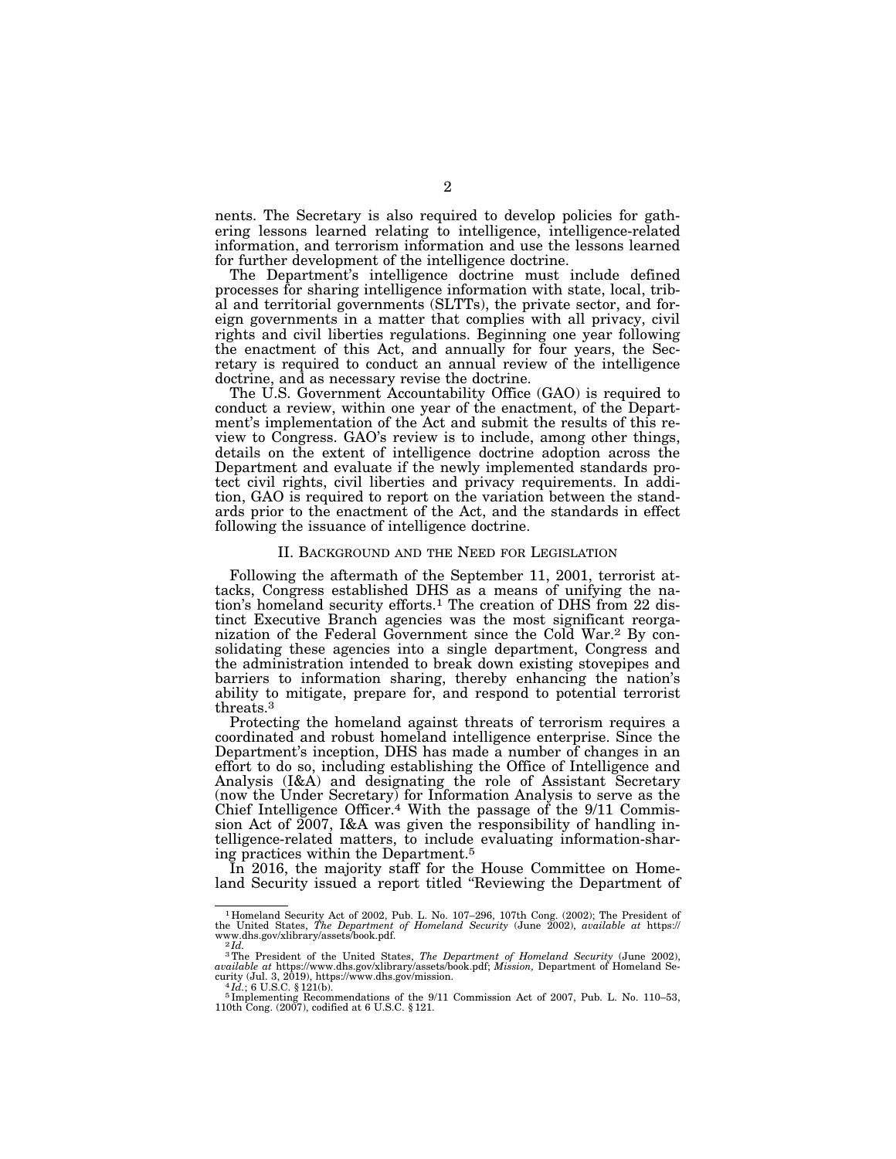nents. The Secretary is also required to develop policies for gathering lessons learned relating to intelligence, intelligence-related information, and terrorism information and use the lessons learned for further development of the intelligence doctrine.

The Department's intelligence doctrine must include defined processes for sharing intelligence information with state, local, tribal and territorial governments (SLTTs), the private sector, and foreign governments in a matter that complies with all privacy, civil rights and civil liberties regulations. Beginning one year following the enactment of this Act, and annually for four years, the Secretary is required to conduct an annual review of the intelligence doctrine, and as necessary revise the doctrine.

The U.S. Government Accountability Office (GAO) is required to conduct a review, within one year of the enactment, of the Department's implementation of the Act and submit the results of this review to Congress. GAO's review is to include, among other things, details on the extent of intelligence doctrine adoption across the Department and evaluate if the newly implemented standards protect civil rights, civil liberties and privacy requirements. In addition, GAO is required to report on the variation between the standards prior to the enactment of the Act, and the standards in effect following the issuance of intelligence doctrine.

#### II. BACKGROUND AND THE NEED FOR LEGISLATION

Following the aftermath of the September 11, 2001, terrorist attacks, Congress established DHS as a means of unifying the nation's homeland security efforts.1 The creation of DHS from 22 distinct Executive Branch agencies was the most significant reorganization of the Federal Government since the Cold War.2 By consolidating these agencies into a single department, Congress and the administration intended to break down existing stovepipes and barriers to information sharing, thereby enhancing the nation's ability to mitigate, prepare for, and respond to potential terrorist threats.3

Protecting the homeland against threats of terrorism requires a coordinated and robust homeland intelligence enterprise. Since the Department's inception, DHS has made a number of changes in an effort to do so, including establishing the Office of Intelligence and Analysis (I&A) and designating the role of Assistant Secretary (now the Under Secretary) for Information Analysis to serve as the Chief Intelligence Officer.<sup>4</sup> With the passage of the 9/11 Commission Act of  $2007$ , I&A was given the responsibility of handling intelligence-related matters, to include evaluating information-sharing practices within the Department.5

In 2016, the majority staff for the House Committee on Homeland Security issued a report titled ''Reviewing the Department of

<sup>1</sup> Homeland Security Act of 2002, Pub. L. No. 107–296, 107th Cong. (2002); The President of the United States, *The Department of Homeland Security* (June 2002), *available at* https://<br>www.dhs.gov/xlibrary/assets/book.pdf.<br><sup>2</sup>*Id.* 

<sup>&</sup>lt;sup>3</sup>The President of the United States, *The Department of Homeland Security* (June 2002), *available at* https://www.dhs.gov/xlibrary/assets/book.pdf; *Mission*, Department of Homeland Se-

curity (Jul. 3, 2019), https://www.dhs.gov/mission.<br>
<sup>4</sup>*Id.*; 6 U.S.C. § 121(b).<br>
<sup>5</sup> Implementing Recommendations of the 9/11 Commission Act of 2007, Pub. L. No. 110–53,<br>
110th Cong. (2007), codified at 6 U.S.C. § 121.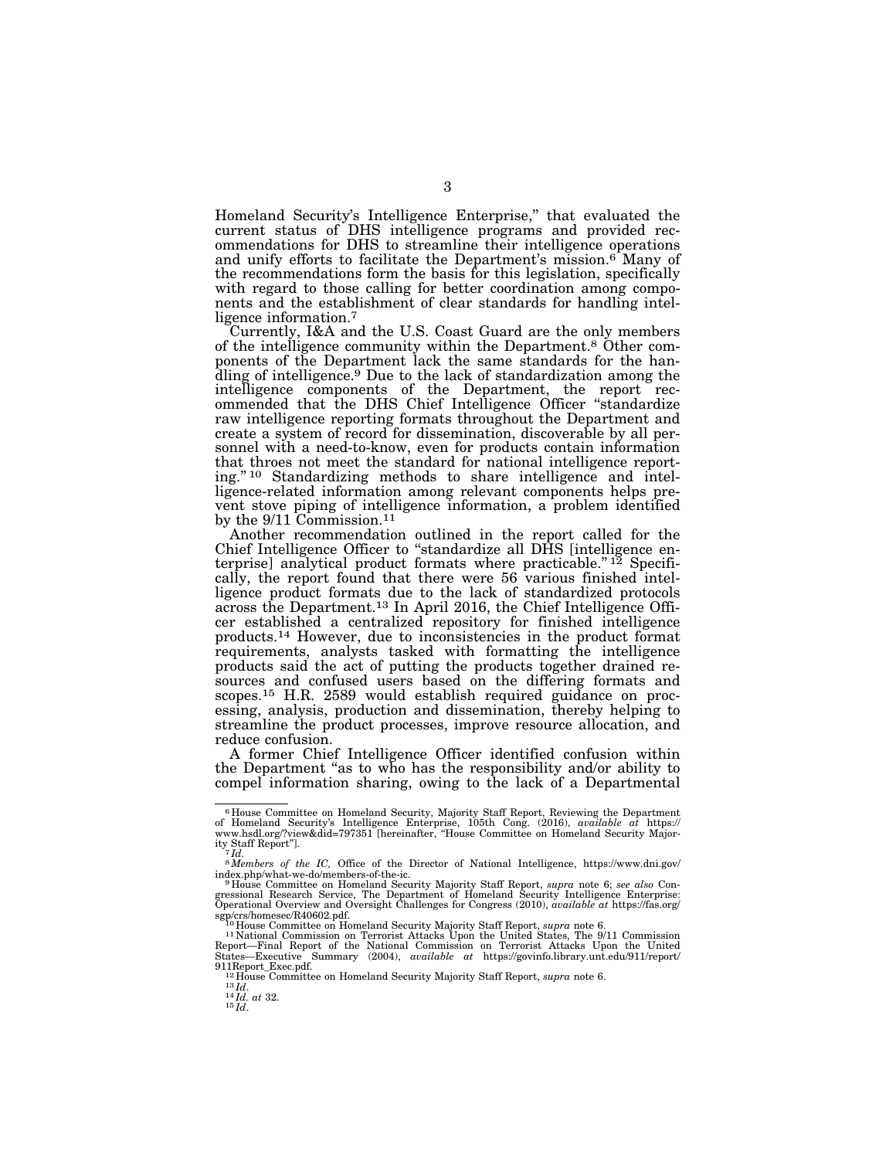Homeland Security's Intelligence Enterprise,'' that evaluated the current status of DHS intelligence programs and provided recommendations for DHS to streamline their intelligence operations and unify efforts to facilitate the Department's mission.<sup>6</sup> Many of the recommendations form the basis for this legislation, specifically with regard to those calling for better coordination among components and the establishment of clear standards for handling intelligence information.7

Currently, I&A and the U.S. Coast Guard are the only members of the intelligence community within the Department.8 Other components of the Department lack the same standards for the handling of intelligence.9 Due to the lack of standardization among the intelligence components of the Department, the report recommended that the DHS Chief Intelligence Officer ''standardize raw intelligence reporting formats throughout the Department and create a system of record for dissemination, discoverable by all personnel with a need-to-know, even for products contain information that throes not meet the standard for national intelligence reporting.'' 10 Standardizing methods to share intelligence and intelligence-related information among relevant components helps prevent stove piping of intelligence information, a problem identified by the 9/11 Commission.11

Another recommendation outlined in the report called for the Chief Intelligence Officer to "standardize all DHS [intelligence enterprise] analytical product formats where practicable."<sup>12</sup> Specifically, the report found that there were 56 various finished intelligence product formats due to the lack of standardized protocols across the Department.<sup>13</sup> In April 2016, the Chief Intelligence Officer established a centralized repository for finished intelligence products.14 However, due to inconsistencies in the product format requirements, analysts tasked with formatting the intelligence products said the act of putting the products together drained resources and confused users based on the differing formats and scopes.15 H.R. 2589 would establish required guidance on processing, analysis, production and dissemination, thereby helping to streamline the product processes, improve resource allocation, and reduce confusion.

A former Chief Intelligence Officer identified confusion within the Department ''as to who has the responsibility and/or ability to compel information sharing, owing to the lack of a Departmental

<sup>6</sup> House Committee on Homeland Security, Majority Staff Report, Reviewing the Department of Homeland Security's Intelligence Enterprise, 105th Cong. (2016), *available at* https:// www.hsdl.org/?view&did=797351 [hereinafter, ''House Committee on Homeland Security Majority Staff Report'']. 7 *Id.* 

 $^{8}$ Members of the IC, Office of the Director of National Intelligence, https://www.dni.gov/<br>index.php/what-we-do/members-of-the-ic.<br> $^{9}$ House Committee on Homeland Security Majority Staff Report, *supra* note 6; *see a* 

gressional Research Service, The Department of Homeland Security Intelligence Enterprise: Operational Overview and Oversight Challenges for Congress (2010), *available at* https://fas.org/

sgp/crs/homesec/R40602.pdf.<br>
<sup>10</sup> House Committee on Homeland Security Majority Staff Report, *supra* note 6.<br>
<sup>11</sup> National Commission on Terrorist Attacks Upon the United States, The 9/11 Commission<br>
Report—Final Report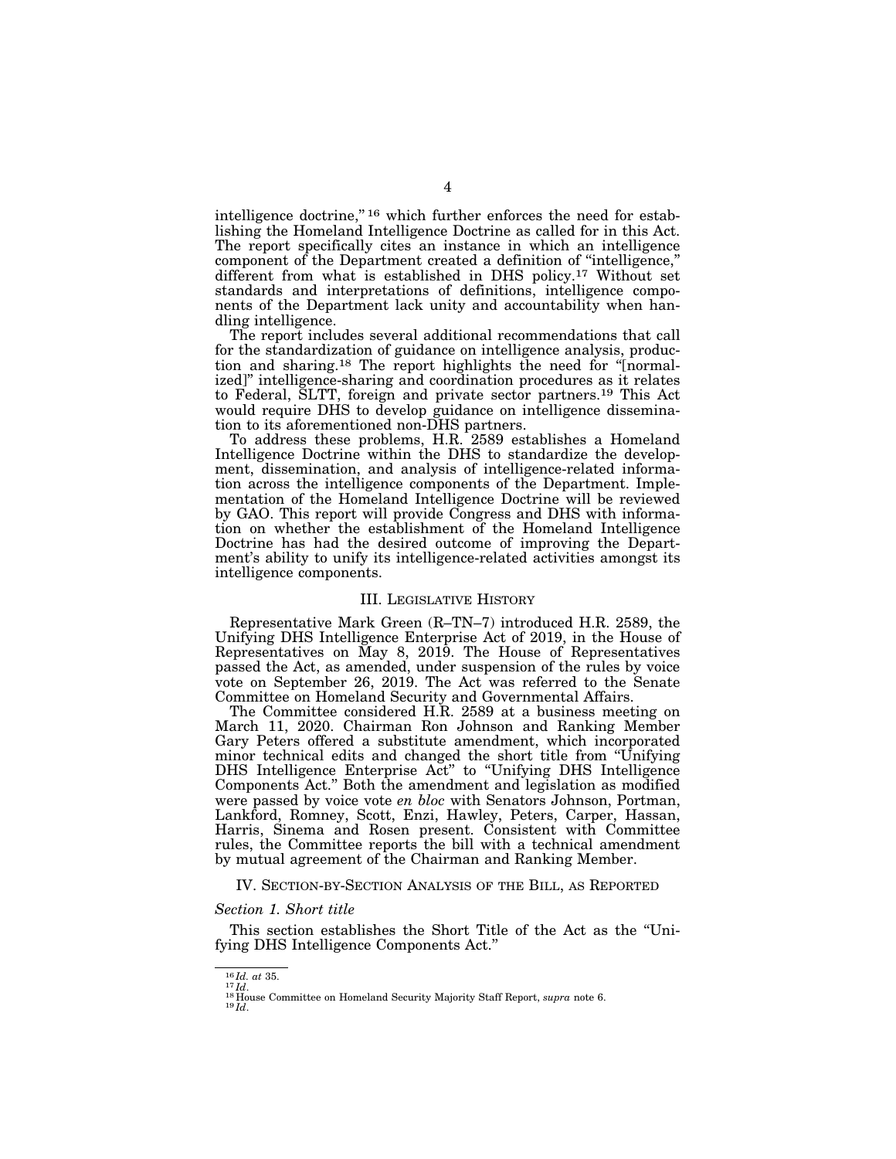intelligence doctrine,"<sup>16</sup> which further enforces the need for establishing the Homeland Intelligence Doctrine as called for in this Act. The report specifically cites an instance in which an intelligence component of the Department created a definition of ''intelligence,'' different from what is established in DHS policy.17 Without set standards and interpretations of definitions, intelligence components of the Department lack unity and accountability when handling intelligence.

The report includes several additional recommendations that call for the standardization of guidance on intelligence analysis, production and sharing.18 The report highlights the need for ''[normalized]'' intelligence-sharing and coordination procedures as it relates to Federal, SLTT, foreign and private sector partners.19 This Act would require DHS to develop guidance on intelligence dissemination to its aforementioned non-DHS partners.

To address these problems, H.R. 2589 establishes a Homeland Intelligence Doctrine within the DHS to standardize the development, dissemination, and analysis of intelligence-related information across the intelligence components of the Department. Implementation of the Homeland Intelligence Doctrine will be reviewed by GAO. This report will provide Congress and DHS with information on whether the establishment of the Homeland Intelligence Doctrine has had the desired outcome of improving the Department's ability to unify its intelligence-related activities amongst its intelligence components.

#### III. LEGISLATIVE HISTORY

Representative Mark Green (R–TN–7) introduced H.R. 2589, the Unifying DHS Intelligence Enterprise Act of 2019, in the House of Representatives on May 8, 2019. The House of Representatives passed the Act, as amended, under suspension of the rules by voice vote on September 26, 2019. The Act was referred to the Senate Committee on Homeland Security and Governmental Affairs.

The Committee considered H.R. 2589 at a business meeting on March 11, 2020. Chairman Ron Johnson and Ranking Member Gary Peters offered a substitute amendment, which incorporated minor technical edits and changed the short title from ''Unifying DHS Intelligence Enterprise Act'' to ''Unifying DHS Intelligence Components Act.'' Both the amendment and legislation as modified were passed by voice vote *en bloc* with Senators Johnson, Portman, Lankford, Romney, Scott, Enzi, Hawley, Peters, Carper, Hassan, Harris, Sinema and Rosen present. Consistent with Committee rules, the Committee reports the bill with a technical amendment by mutual agreement of the Chairman and Ranking Member.

#### IV. SECTION-BY-SECTION ANALYSIS OF THE BILL, AS REPORTED

#### *Section 1. Short title*

This section establishes the Short Title of the Act as the ''Unifying DHS Intelligence Components Act.''

<sup>&</sup>lt;sup>16</sup> *Id. at* 35.<br><sup>18</sup> *Id.*<br><sup>18</sup> House Committee on Homeland Security Majority Staff Report, *supra* note 6.<br><sup>19 *Id*</sup>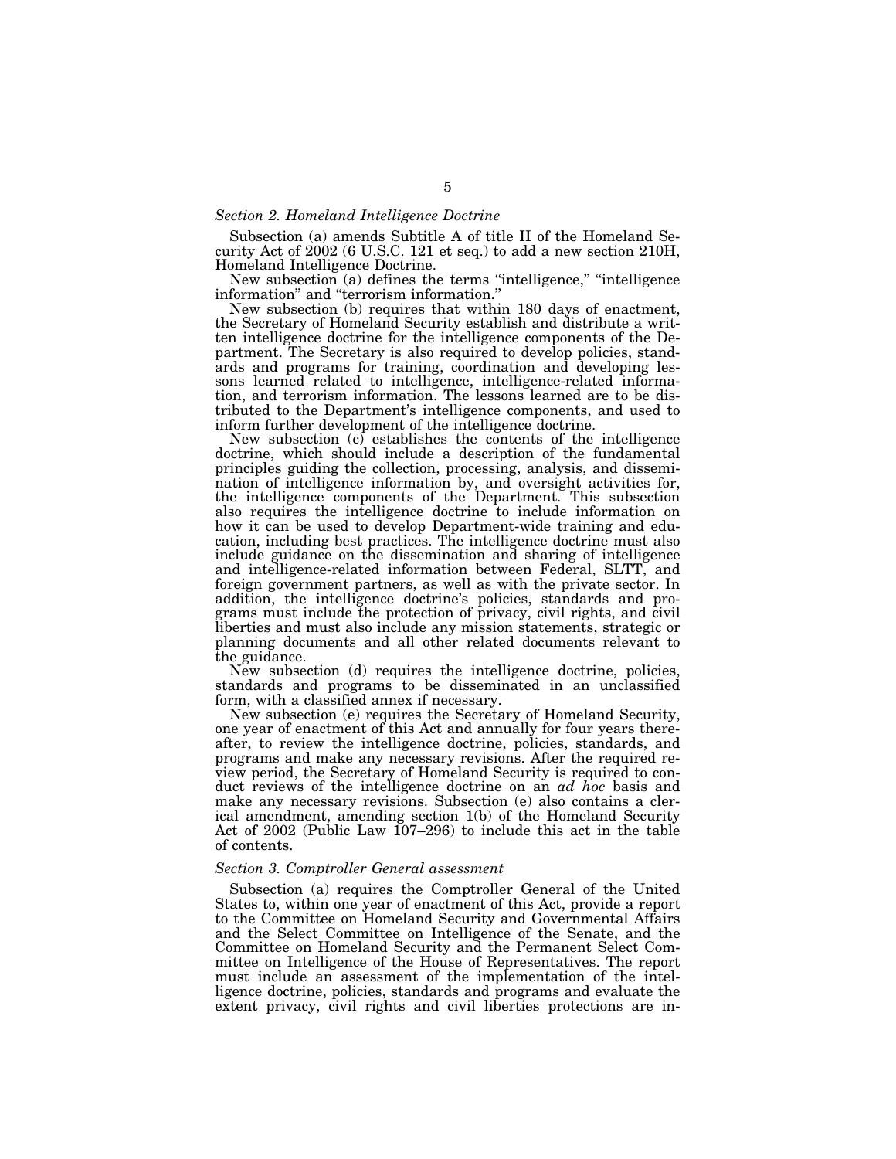#### *Section 2. Homeland Intelligence Doctrine*

Subsection (a) amends Subtitle A of title II of the Homeland Security Act of 2002 (6 U.S.C. 121 et seq.) to add a new section 210H, Homeland Intelligence Doctrine.

New subsection (a) defines the terms "intelligence," "intelligence information'' and ''terrorism information.''

New subsection (b) requires that within 180 days of enactment, the Secretary of Homeland Security establish and distribute a written intelligence doctrine for the intelligence components of the Department. The Secretary is also required to develop policies, standards and programs for training, coordination and developing lessons learned related to intelligence, intelligence-related information, and terrorism information. The lessons learned are to be distributed to the Department's intelligence components, and used to inform further development of the intelligence doctrine.

New subsection (c) establishes the contents of the intelligence doctrine, which should include a description of the fundamental principles guiding the collection, processing, analysis, and dissemination of intelligence information by, and oversight activities for, the intelligence components of the Department. This subsection also requires the intelligence doctrine to include information on how it can be used to develop Department-wide training and education, including best practices. The intelligence doctrine must also include guidance on the dissemination and sharing of intelligence and intelligence-related information between Federal, SLTT, and foreign government partners, as well as with the private sector. In addition, the intelligence doctrine's policies, standards and programs must include the protection of privacy, civil rights, and civil liberties and must also include any mission statements, strategic or planning documents and all other related documents relevant to the guidance.

New subsection (d) requires the intelligence doctrine, policies, standards and programs to be disseminated in an unclassified form, with a classified annex if necessary.

New subsection (e) requires the Secretary of Homeland Security, one year of enactment of this Act and annually for four years thereafter, to review the intelligence doctrine, policies, standards, and programs and make any necessary revisions. After the required review period, the Secretary of Homeland Security is required to conduct reviews of the intelligence doctrine on an *ad hoc* basis and make any necessary revisions. Subsection (e) also contains a clerical amendment, amending section 1(b) of the Homeland Security Act of 2002 (Public Law 107–296) to include this act in the table of contents.

#### *Section 3. Comptroller General assessment*

Subsection (a) requires the Comptroller General of the United States to, within one year of enactment of this Act, provide a report to the Committee on Homeland Security and Governmental Affairs and the Select Committee on Intelligence of the Senate, and the Committee on Homeland Security and the Permanent Select Committee on Intelligence of the House of Representatives. The report must include an assessment of the implementation of the intelligence doctrine, policies, standards and programs and evaluate the extent privacy, civil rights and civil liberties protections are in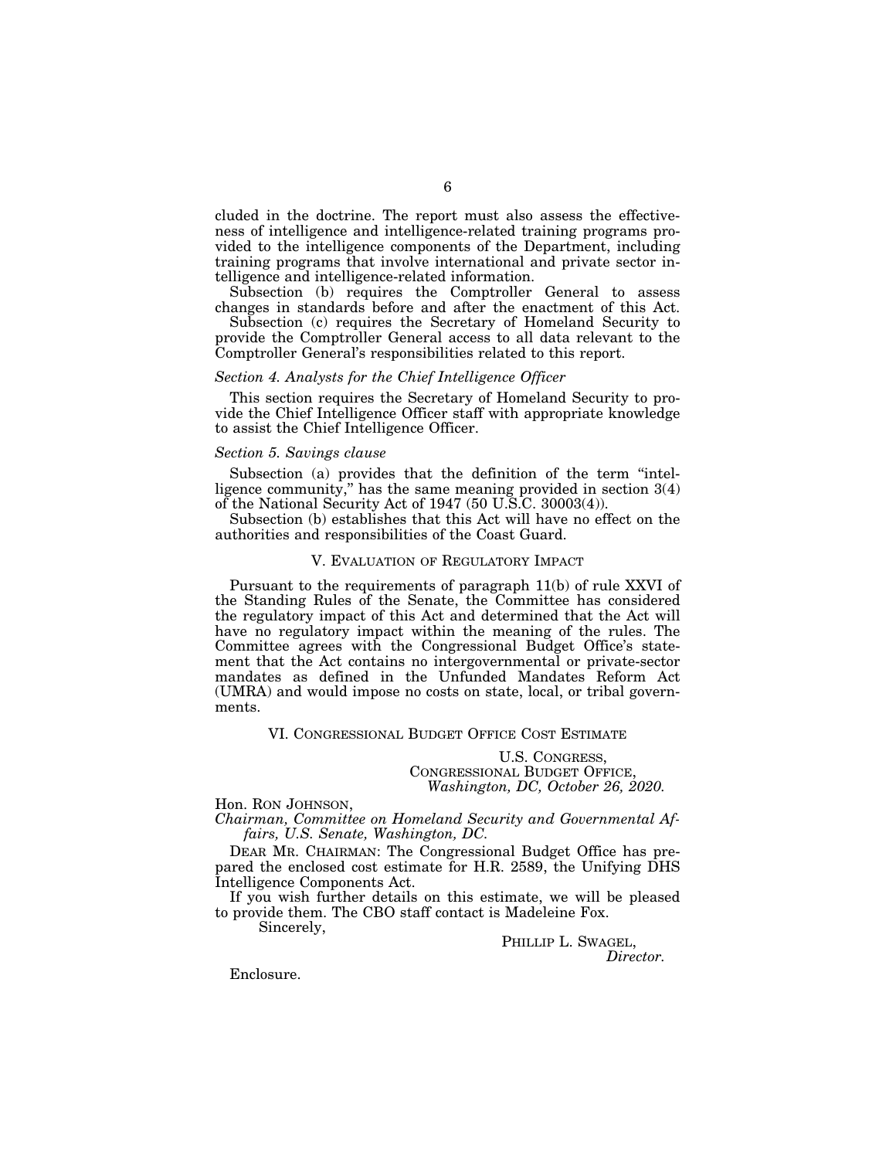cluded in the doctrine. The report must also assess the effectiveness of intelligence and intelligence-related training programs provided to the intelligence components of the Department, including training programs that involve international and private sector intelligence and intelligence-related information.

Subsection (b) requires the Comptroller General to assess changes in standards before and after the enactment of this Act.

Subsection (c) requires the Secretary of Homeland Security to provide the Comptroller General access to all data relevant to the Comptroller General's responsibilities related to this report.

#### *Section 4. Analysts for the Chief Intelligence Officer*

This section requires the Secretary of Homeland Security to provide the Chief Intelligence Officer staff with appropriate knowledge to assist the Chief Intelligence Officer.

### *Section 5. Savings clause*

Subsection (a) provides that the definition of the term "intelligence community,'' has the same meaning provided in section 3(4) of the National Security Act of 1947 (50 U.S.C. 30003(4)).

Subsection (b) establishes that this Act will have no effect on the authorities and responsibilities of the Coast Guard.

#### V. EVALUATION OF REGULATORY IMPACT

Pursuant to the requirements of paragraph 11(b) of rule XXVI of the Standing Rules of the Senate, the Committee has considered the regulatory impact of this Act and determined that the Act will have no regulatory impact within the meaning of the rules. The Committee agrees with the Congressional Budget Office's statement that the Act contains no intergovernmental or private-sector mandates as defined in the Unfunded Mandates Reform Act (UMRA) and would impose no costs on state, local, or tribal governments.

VI. CONGRESSIONAL BUDGET OFFICE COST ESTIMATE

U.S. CONGRESS, CONGRESSIONAL BUDGET OFFICE, *Washington, DC, October 26, 2020.* 

Hon. RON JOHNSON, *Chairman, Committee on Homeland Security and Governmental Affairs, U.S. Senate, Washington, DC.* 

DEAR MR. CHAIRMAN: The Congressional Budget Office has prepared the enclosed cost estimate for H.R. 2589, the Unifying DHS Intelligence Components Act.

If you wish further details on this estimate, we will be pleased to provide them. The CBO staff contact is Madeleine Fox. Sincerely,

> PHILLIP L. SWAGEL, *Director.*

Enclosure.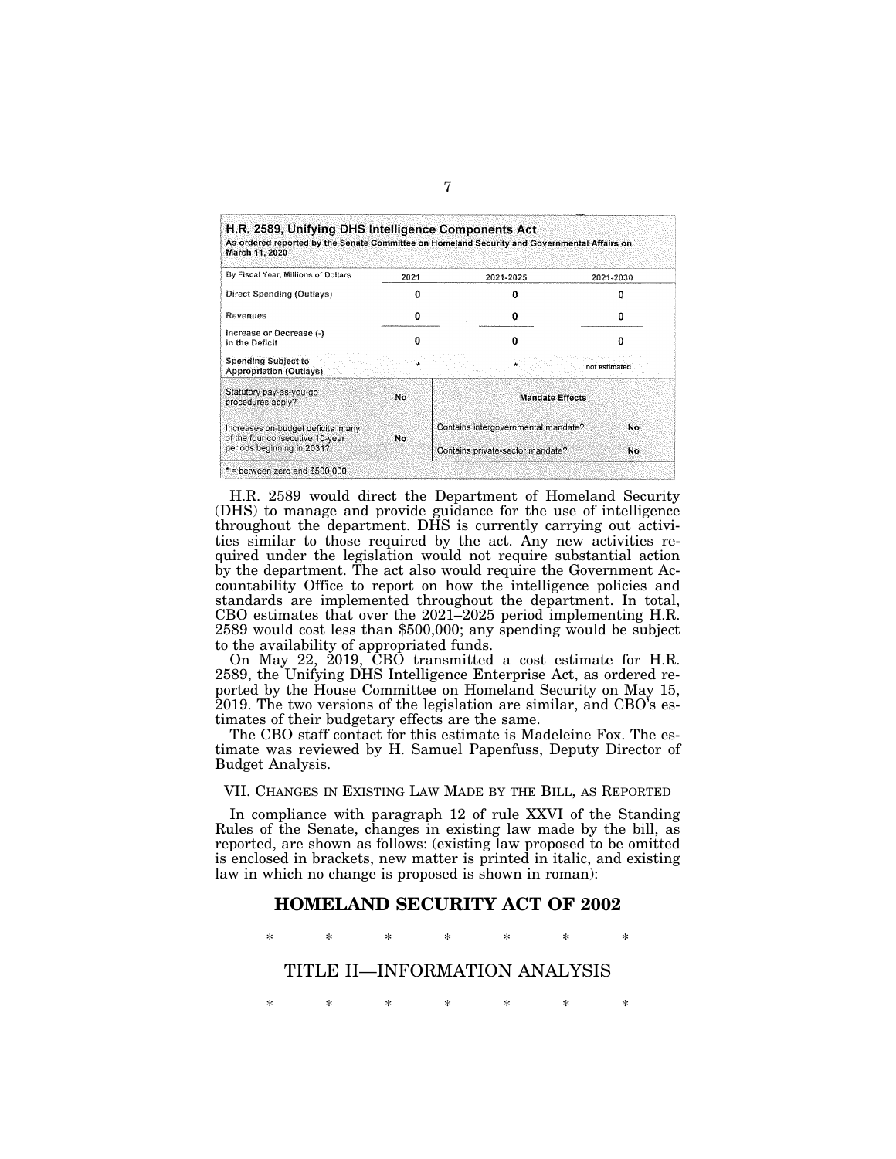| H.R. 2589, Unifying DHS Intelligence Components Act<br>March 11, 2020  |      | As ordered reported by the Senate Committee on Homeland Security and Governmental Affairs on |               |
|------------------------------------------------------------------------|------|----------------------------------------------------------------------------------------------|---------------|
| By Fiscal Year, Millions of Dollars                                    | 2021 | 2021-2025                                                                                    | 2021-2030     |
| Direct Spending (Outlays)                                              |      |                                                                                              |               |
| Revenues                                                               |      | Ω                                                                                            |               |
| Increase or Decrease (-)<br>in the Deficit                             | n    | 0                                                                                            | n             |
| <b>Spending Subject to</b><br>Appropriation (Outlays).                 |      |                                                                                              | not estimated |
| Statutory pay-as-you-go<br>procedures apply?                           | No   | <b>Mandate Effects</b>                                                                       |               |
| Increases on-budget deficits in any<br>of the four consecutive 10-year | No   | Contains intergovernmental mandate?                                                          | No.           |
| periods beginning in 2031?                                             |      | Contains private-sector mandate?                                                             | No            |

H.R. 2589 would direct the Department of Homeland Security (DHS) to manage and provide guidance for the use of intelligence throughout the department. DHS is currently carrying out activities similar to those required by the act. Any new activities required under the legislation would not require substantial action by the department. The act also would require the Government Accountability Office to report on how the intelligence policies and standards are implemented throughout the department. In total, CBO estimates that over the 2021–2025 period implementing H.R. 2589 would cost less than \$500,000; any spending would be subject to the availability of appropriated funds.

On May 22, 2019, CBO transmitted a cost estimate for H.R. 2589, the Unifying DHS Intelligence Enterprise Act, as ordered reported by the House Committee on Homeland Security on May 15, 2019. The two versions of the legislation are similar, and CBO's estimates of their budgetary effects are the same.

The CBO staff contact for this estimate is Madeleine Fox. The estimate was reviewed by H. Samuel Papenfuss, Deputy Director of Budget Analysis.

VII. CHANGES IN EXISTING LAW MADE BY THE BILL, AS REPORTED

In compliance with paragraph 12 of rule XXVI of the Standing Rules of the Senate, changes in existing law made by the bill, as reported, are shown as follows: (existing law proposed to be omitted is enclosed in brackets, new matter is printed in italic, and existing law in which no change is proposed is shown in roman):

## **HOMELAND SECURITY ACT OF 2002**

\* \* \* \* \* \* \*

TITLE II—INFORMATION ANALYSIS

\* \* \* \* \* \* \*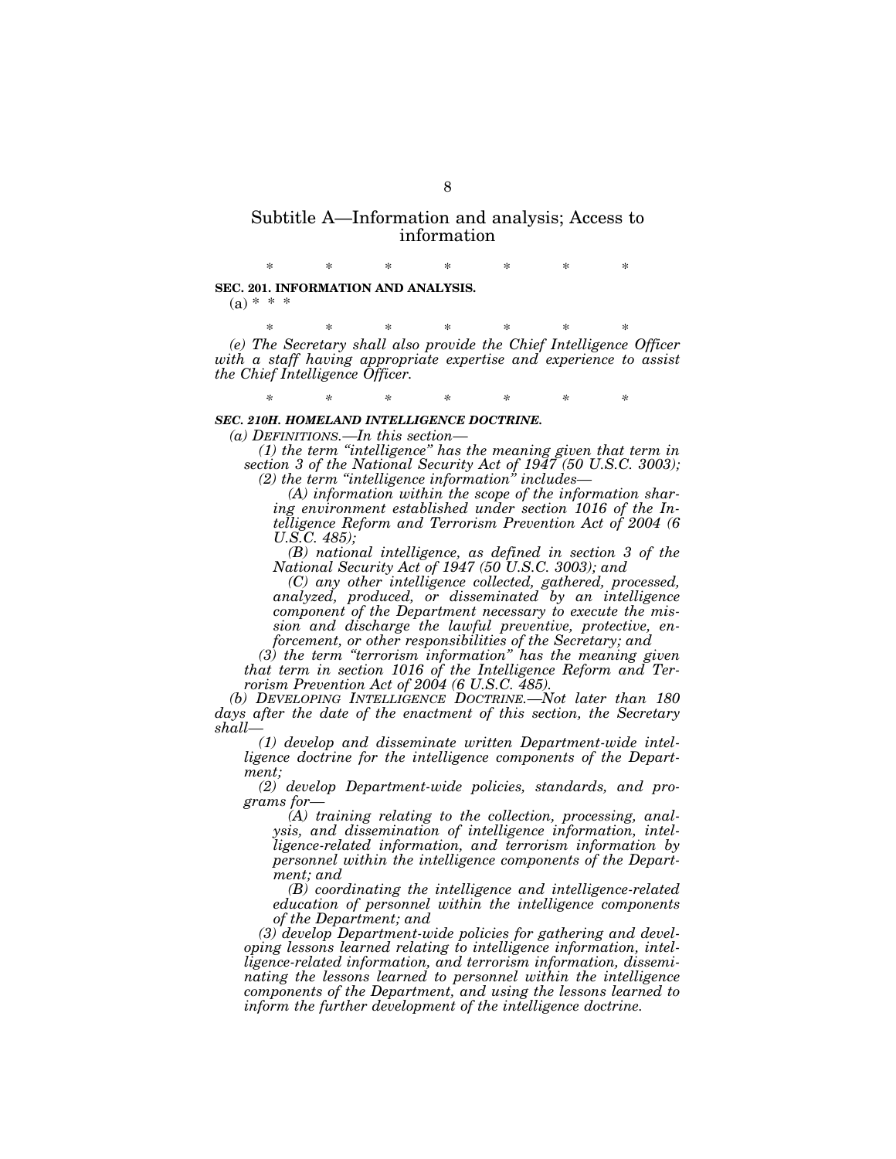## Subtitle A—Information and analysis; Access to information

\* \* \* \* \* \* \* **SEC. 201. INFORMATION AND ANALYSIS.**   $(a) * * *$ 

\* \* \* \* \* \* \* *(e) The Secretary shall also provide the Chief Intelligence Officer with a staff having appropriate expertise and experience to assist the Chief Intelligence Officer.* 

*\* \* \* \* \* \* \** 

#### *SEC. 210H. HOMELAND INTELLIGENCE DOCTRINE.*

*(a) DEFINITIONS.—In this section—* 

*(1) the term ''intelligence'' has the meaning given that term in section 3 of the National Security Act of 1947 (50 U.S.C. 3003); (2) the term ''intelligence information'' includes—* 

*(A) information within the scope of the information sharing environment established under section 1016 of the Intelligence Reform and Terrorism Prevention Act of 2004 (6 U.S.C. 485);* 

*(B) national intelligence, as defined in section 3 of the National Security Act of 1947 (50 U.S.C. 3003); and* 

*(C) any other intelligence collected, gathered, processed, analyzed, produced, or disseminated by an intelligence component of the Department necessary to execute the mission and discharge the lawful preventive, protective, enforcement, or other responsibilities of the Secretary; and* 

*(3) the term ''terrorism information'' has the meaning given that term in section 1016 of the Intelligence Reform and Terrorism Prevention Act of 2004 (6 U.S.C. 485).* 

*(b) DEVELOPING INTELLIGENCE DOCTRINE.—Not later than 180 days after the date of the enactment of this section, the Secretary shall—* 

*(1) develop and disseminate written Department-wide intelligence doctrine for the intelligence components of the Department;* 

*(2) develop Department-wide policies, standards, and programs for—* 

*(A) training relating to the collection, processing, analysis, and dissemination of intelligence information, intelligence-related information, and terrorism information by personnel within the intelligence components of the Department; and* 

*(B) coordinating the intelligence and intelligence-related education of personnel within the intelligence components of the Department; and* 

*(3) develop Department-wide policies for gathering and developing lessons learned relating to intelligence information, intelligence-related information, and terrorism information, disseminating the lessons learned to personnel within the intelligence components of the Department, and using the lessons learned to inform the further development of the intelligence doctrine.*